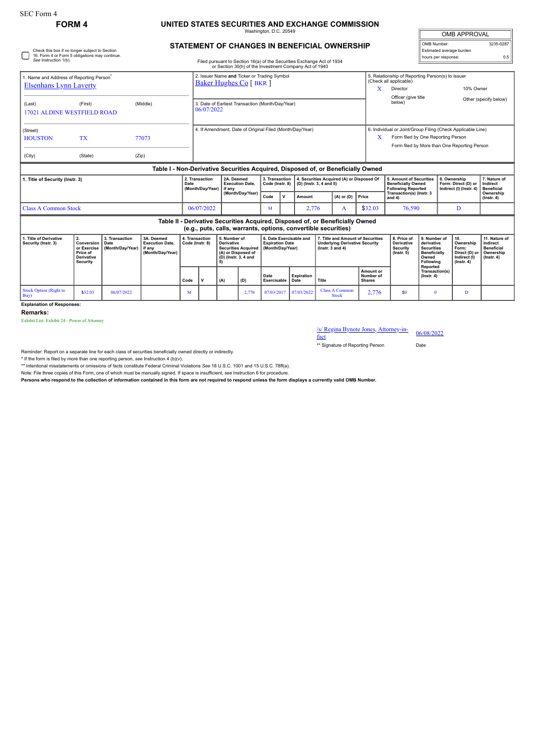Check this box if no longer subject to Section 16. Form 4 or Form 5 obligations may continue. *See* Instruction 1(b).

## **FORM 4 UNITED STATES SECURITIES AND EXCHANGE COMMISSION**

Washington, D.C. 20549

#### **STATEMENT OF CHANGES IN BENEFICIAL OWNERSHIP**

Filed pursuant to Section 16(a) of the Securities Exchange Act of 1934 or Section 30(h) of the Investment Company Act of 1940

| <b>OMB APPROVAL</b>      |           |  |  |  |  |  |  |  |
|--------------------------|-----------|--|--|--|--|--|--|--|
| OMB Number:              | 3235-0287 |  |  |  |  |  |  |  |
| Estimated average burden |           |  |  |  |  |  |  |  |
| hours per response:      | 0.5       |  |  |  |  |  |  |  |

| 1. Name and Address of Reporting Person<br><b>Elsenhans Lynn Laverty</b>                                                                        |                                                                                     |                                            |                                                                                  |      | 2. Issuer Name and Ticker or Trading Symbol<br><b>Baker Hughes Co</b> [ BKR ]        |  |                                                                          |                             |                                                                       |                   |                                                                                                        |                                       | X                                       | 5. Relationship of Reporting Person(s) to Issuer<br>(Check all applicable)<br>Director<br>Officer (give title                                          |                                                                                                          |              |                                                                                | 10% Owner                                                                       |
|-------------------------------------------------------------------------------------------------------------------------------------------------|-------------------------------------------------------------------------------------|--------------------------------------------|----------------------------------------------------------------------------------|------|--------------------------------------------------------------------------------------|--|--------------------------------------------------------------------------|-----------------------------|-----------------------------------------------------------------------|-------------------|--------------------------------------------------------------------------------------------------------|---------------------------------------|-----------------------------------------|--------------------------------------------------------------------------------------------------------------------------------------------------------|----------------------------------------------------------------------------------------------------------|--------------|--------------------------------------------------------------------------------|---------------------------------------------------------------------------------|
| (Middle)<br>(First)<br>(Last)<br><b>17021 ALDINE WESTFIELD ROAD</b>                                                                             |                                                                                     |                                            |                                                                                  |      | 3. Date of Earliest Transaction (Month/Day/Year)<br>06/07/2022                       |  |                                                                          |                             |                                                                       |                   |                                                                                                        |                                       |                                         | below)                                                                                                                                                 |                                                                                                          |              |                                                                                | Other (specify below)                                                           |
| (Street)<br><b>HOUSTON</b><br>(City)                                                                                                            | <b>TX</b><br>(State)                                                                | (Zip)                                      | 77073                                                                            |      | 4. If Amendment, Date of Original Filed (Month/Day/Year)                             |  |                                                                          |                             |                                                                       |                   |                                                                                                        |                                       |                                         | 6. Individual or Joint/Group Filing (Check Applicable Line)<br>Form filed by One Reporting Person<br>X<br>Form filed by More than One Reporting Person |                                                                                                          |              |                                                                                |                                                                                 |
|                                                                                                                                                 |                                                                                     |                                            | Table I - Non-Derivative Securities Acquired, Disposed of, or Beneficially Owned |      |                                                                                      |  |                                                                          |                             |                                                                       |                   |                                                                                                        |                                       |                                         |                                                                                                                                                        |                                                                                                          |              |                                                                                |                                                                                 |
| 1. Title of Security (Instr. 3)                                                                                                                 |                                                                                     |                                            |                                                                                  | Date | 2. Transaction<br>(Month/Day/Year)                                                   |  | 2A. Deemed<br><b>Execution Date.</b><br>if any                           |                             | 3. Transaction<br>Code (Instr. 8)                                     |                   | 4. Securities Acquired (A) or Disposed Of<br>(D) (Instr. 3, 4 and 5)                                   |                                       |                                         | 5. Amount of Securities<br><b>Beneficially Owned</b><br><b>Following Reported</b><br>Transaction(s) (Instr. 3<br>and $4)$                              |                                                                                                          | 6. Ownership | Form: Direct (D) or<br>Indirect (I) (Instr. 4)                                 | 7. Nature of<br>Indirect<br><b>Beneficial</b>                                   |
|                                                                                                                                                 |                                                                                     |                                            |                                                                                  |      |                                                                                      |  | (Month/Day/Year)                                                         |                             | $\mathbf v$                                                           | Amount            | $(A)$ or $(D)$                                                                                         |                                       | Price                                   |                                                                                                                                                        |                                                                                                          |              |                                                                                | Ownership<br>$($ Instr. 4 $)$                                                   |
| <b>Class A Common Stock</b>                                                                                                                     |                                                                                     |                                            |                                                                                  |      | 06/07/2022                                                                           |  | M                                                                        |                             | 2,776                                                                 |                   | A                                                                                                      | \$32.03                               | 76,590                                  |                                                                                                                                                        |                                                                                                          | D            |                                                                                |                                                                                 |
| Table II - Derivative Securities Acquired, Disposed of, or Beneficially Owned<br>(e.g., puts, calls, warrants, options, convertible securities) |                                                                                     |                                            |                                                                                  |      |                                                                                      |  |                                                                          |                             |                                                                       |                   |                                                                                                        |                                       |                                         |                                                                                                                                                        |                                                                                                          |              |                                                                                |                                                                                 |
| 1. Title of Derivative<br>Security (Instr. 3)                                                                                                   | 2.<br>Conversion<br>or Exercise<br>Price of<br><b>Derivative</b><br><b>Security</b> | 3. Transaction<br>Date<br>(Month/Day/Year) | 3A. Deemed<br><b>Execution Date,</b><br>if any<br>(Month/Day/Year)               |      | 4. Transaction<br>5. Number of<br>Code (Instr. 8)<br><b>Derivative</b><br>(A)<br>(D) |  | <b>Securities Acquired</b><br>(A) or Disposed of<br>(D) (Instr. 3, 4 and |                             | 6. Date Exercisable and<br><b>Expiration Date</b><br>(Month/Day/Year) |                   | 7. Title and Amount of Securities<br><b>Underlying Derivative Security</b><br>$($ lnstr. $3$ and 4 $)$ |                                       |                                         | 8. Price of<br><b>Derivative</b><br>Security<br>$($ lnstr. 5 $)$                                                                                       | 9. Number of<br>derivative<br><b>Securities</b><br><b>Beneficially</b><br>Owned<br>Following<br>Reported |              | 10.<br>Ownership<br>Form:<br>Direct (D) or<br>Indirect (I)<br>$($ lnstr. 4 $)$ | 11. Nature of<br>Indirect<br><b>Beneficial</b><br>Ownership<br>$($ Instr. 4 $)$ |
|                                                                                                                                                 |                                                                                     |                                            |                                                                                  | Code |                                                                                      |  |                                                                          | Date<br>Exercisable<br>Date |                                                                       | <b>Expiration</b> | Title                                                                                                  |                                       | Amount or<br>Number of<br><b>Shares</b> |                                                                                                                                                        | Transaction(s)<br>$($ Instr. 4 $)$                                                                       |              |                                                                                |                                                                                 |
| <b>Stock Option (Right to</b><br>Buy)                                                                                                           | \$32.03                                                                             | 06/07/2022                                 |                                                                                  | M    |                                                                                      |  | 2,776                                                                    | 07/03/2017                  |                                                                       | 07/03/2022        |                                                                                                        | <b>Class A Common</b><br><b>Stock</b> | 2,776                                   | \$0                                                                                                                                                    | $\mathbf{0}$                                                                                             |              | D                                                                              |                                                                                 |

#### **Explanation of Responses:**

**Remarks:**

Exhibit List: Exhibit 24 - Power of Attorney

# /s/ Regina Bynote Jones, Attorney-in-<br>fact

\*\* Signature of Reporting Person Date

Reminder: Report on a separate line for each class of securities beneficially owned directly or indirectly.

\* If the form is filed by more than one reporting person, see Instruction 4 (b)(v).<br>\*\* Intentional misstatements or omissions of facts constitute Federal Criminal Violations See 18 U.S.C. 1001 and 15 U.S.C. 78ff(a).

Note: File three copies of this Form, one of which must be manually signed. If space is insufficient, *see* Instruction 6 for procedure.

**Persons who respond to the collection of information contained in this form are not required to respond unless the form displays a currently valid OMB Number.**